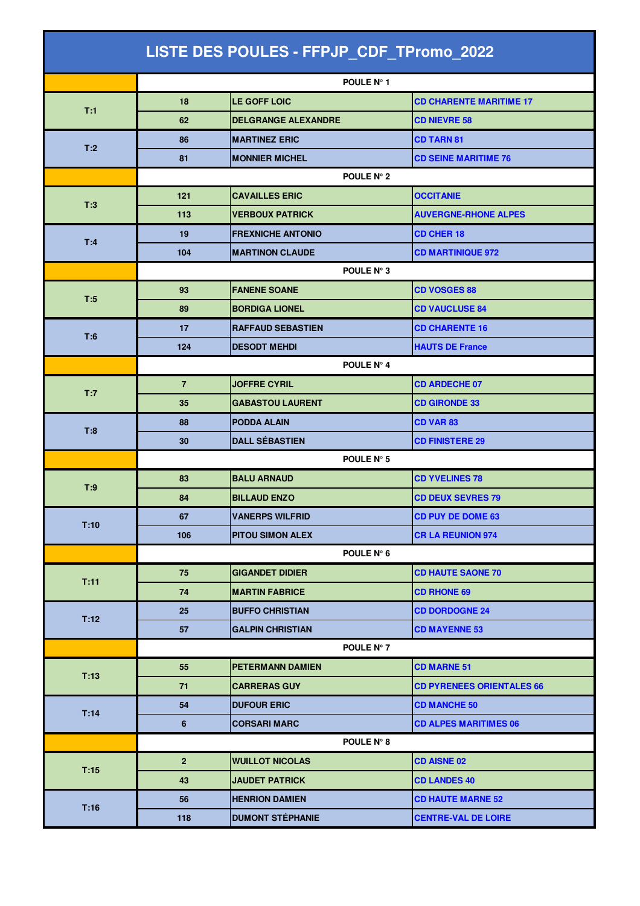| LISTE DES POULES - FFPJP_CDF_TPromo_2022 |                |                            |                                  |  |  |
|------------------------------------------|----------------|----------------------------|----------------------------------|--|--|
|                                          |                | POULE N° 1                 |                                  |  |  |
| T:1                                      | 18             | <b>LE GOFF LOIC</b>        | <b>CD CHARENTE MARITIME 17</b>   |  |  |
|                                          | 62             | <b>DELGRANGE ALEXANDRE</b> | <b>CD NIEVRE 58</b>              |  |  |
| T:2                                      | 86             | <b>MARTINEZ ERIC</b>       | <b>CD TARN 81</b>                |  |  |
|                                          | 81             | <b>MONNIER MICHEL</b>      | <b>CD SEINE MARITIME 76</b>      |  |  |
|                                          | POULE N° 2     |                            |                                  |  |  |
|                                          | 121            | <b>CAVAILLES ERIC</b>      | <b>OCCITANIE</b>                 |  |  |
| T:3                                      | 113            | <b>VERBOUX PATRICK</b>     | <b>AUVERGNE-RHONE ALPES</b>      |  |  |
| T:4                                      | 19             | <b>FREXNICHE ANTONIO</b>   | <b>CD CHER 18</b>                |  |  |
|                                          | 104            | <b>MARTINON CLAUDE</b>     | <b>CD MARTINIQUE 972</b>         |  |  |
|                                          |                | POULE N° 3                 |                                  |  |  |
| T:5                                      | 93             | <b>FANENE SOANE</b>        | <b>CD VOSGES 88</b>              |  |  |
|                                          | 89             | <b>BORDIGA LIONEL</b>      | <b>CD VAUCLUSE 84</b>            |  |  |
| T:6                                      | 17             | <b>RAFFAUD SEBASTIEN</b>   | <b>CD CHARENTE 16</b>            |  |  |
|                                          | 124            | <b>DESODT MEHDI</b>        | <b>HAUTS DE France</b>           |  |  |
|                                          |                | POULE N° 4                 |                                  |  |  |
| T:7                                      | $\overline{7}$ | <b>JOFFRE CYRIL</b>        | <b>CD ARDECHE 07</b>             |  |  |
|                                          | 35             | <b>GABASTOU LAURENT</b>    | <b>CD GIRONDE 33</b>             |  |  |
| T:8                                      | 88             | <b>PODDA ALAIN</b>         | CD VAR 83                        |  |  |
|                                          | 30             | <b>DALL SÉBASTIEN</b>      | <b>CD FINISTERE 29</b>           |  |  |
|                                          | POULE N° 5     |                            |                                  |  |  |
| T:9                                      | 83             | <b>BALU ARNAUD</b>         | <b>CD YVELINES 78</b>            |  |  |
|                                          | 84             | <b>BILLAUD ENZO</b>        | <b>CD DEUX SEVRES 79</b>         |  |  |
| T:10                                     | 67             | <b>VANERPS WILFRID</b>     | <b>CD PUY DE DOME 63</b>         |  |  |
|                                          | 106            | <b>PITOU SIMON ALEX</b>    | <b>CR LA REUNION 974</b>         |  |  |
|                                          | POULE N° 6     |                            |                                  |  |  |
| T:11                                     | 75             | <b>GIGANDET DIDIER</b>     | <b>CD HAUTE SAONE 70</b>         |  |  |
|                                          | 74             | <b>MARTIN FABRICE</b>      | <b>CD RHONE 69</b>               |  |  |
| T:12                                     | 25             | <b>BUFFO CHRISTIAN</b>     | <b>CD DORDOGNE 24</b>            |  |  |
|                                          | 57             | <b>GALPIN CHRISTIAN</b>    | <b>CD MAYENNE 53</b>             |  |  |
|                                          |                | POULE N° 7                 |                                  |  |  |
| T:13                                     | 55             | <b>PETERMANN DAMIEN</b>    | <b>CD MARNE 51</b>               |  |  |
|                                          | 71             | <b>CARRERAS GUY</b>        | <b>CD PYRENEES ORIENTALES 66</b> |  |  |
| T:14                                     | 54             | <b>DUFOUR ERIC</b>         | <b>CD MANCHE 50</b>              |  |  |
|                                          | 6              | <b>CORSARI MARC</b>        | <b>CD ALPES MARITIMES 06</b>     |  |  |
|                                          |                | POULE N° 8                 |                                  |  |  |
| T:15                                     | $\mathbf{2}$   | <b>WUILLOT NICOLAS</b>     | <b>CD AISNE 02</b>               |  |  |
|                                          | 43             | <b>JAUDET PATRICK</b>      | <b>CD LANDES 40</b>              |  |  |
| T:16                                     | 56             | <b>HENRION DAMIEN</b>      | <b>CD HAUTE MARNE 52</b>         |  |  |
|                                          | 118            | <b>DUMONT STÉPHANIE</b>    | <b>CENTRE-VAL DE LOIRE</b>       |  |  |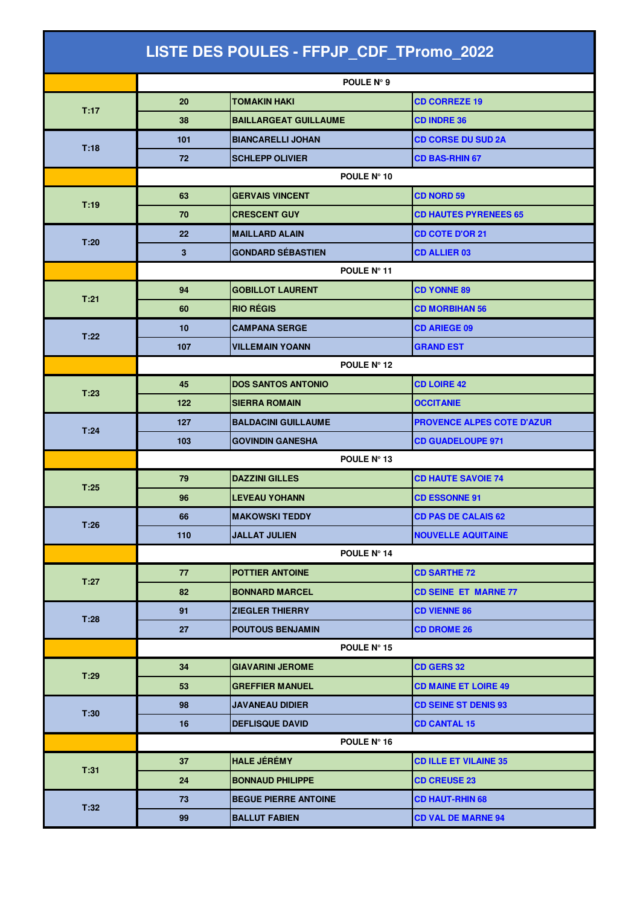| LISTE DES POULES - FFPJP_CDF_TPromo_2022 |             |                              |                                   |  |  |
|------------------------------------------|-------------|------------------------------|-----------------------------------|--|--|
|                                          |             | POULE N° 9                   |                                   |  |  |
|                                          | 20          | <b>TOMAKIN HAKI</b>          | <b>CD CORREZE 19</b>              |  |  |
| T:17                                     | 38          | <b>BAILLARGEAT GUILLAUME</b> | <b>CD INDRE 36</b>                |  |  |
| T:18                                     | 101         | <b>BIANCARELLI JOHAN</b>     | <b>CD CORSE DU SUD 2A</b>         |  |  |
|                                          | 72          | <b>SCHLEPP OLIVIER</b>       | <b>CD BAS-RHIN 67</b>             |  |  |
|                                          | POULE N° 10 |                              |                                   |  |  |
| T:19                                     | 63          | <b>GERVAIS VINCENT</b>       | <b>CD NORD 59</b>                 |  |  |
|                                          | 70          | <b>CRESCENT GUY</b>          | <b>CD HAUTES PYRENEES 65</b>      |  |  |
| T:20                                     | 22          | <b>MAILLARD ALAIN</b>        | <b>CD COTE D'OR 21</b>            |  |  |
|                                          | 3           | <b>GONDARD SÉBASTIEN</b>     | <b>CD ALLIER 03</b>               |  |  |
|                                          | POULE N° 11 |                              |                                   |  |  |
| T:21                                     | 94          | <b>GOBILLOT LAURENT</b>      | <b>CD YONNE 89</b>                |  |  |
|                                          | 60          | <b>RIO RÉGIS</b>             | <b>CD MORBIHAN 56</b>             |  |  |
| T:22                                     | 10          | <b>CAMPANA SERGE</b>         | <b>CD ARIEGE 09</b>               |  |  |
|                                          | 107         | <b>VILLEMAIN YOANN</b>       | <b>GRAND EST</b>                  |  |  |
|                                          | POULE N° 12 |                              |                                   |  |  |
| T:23                                     | 45          | <b>DOS SANTOS ANTONIO</b>    | <b>CD LOIRE 42</b>                |  |  |
|                                          | 122         | <b>SIERRA ROMAIN</b>         | <b>OCCITANIE</b>                  |  |  |
| T:24                                     | 127         | <b>BALDACINI GUILLAUME</b>   | <b>PROVENCE ALPES COTE D'AZUR</b> |  |  |
|                                          | 103         | <b>GOVINDIN GANESHA</b>      | <b>CD GUADELOUPE 971</b>          |  |  |
|                                          | POULE N° 13 |                              |                                   |  |  |
| T:25                                     | 79          | <b>DAZZINI GILLES</b>        | <b>CD HAUTE SAVOIE 74</b>         |  |  |
|                                          | 96          | <b>LEVEAU YOHANN</b>         | <b>CD ESSONNE 91</b>              |  |  |
| T:26                                     | 66          | MAKOWSKI TEDDY               | <b>CD PAS DE CALAIS 62</b>        |  |  |
|                                          | 110         | <b>JALLAT JULIEN</b>         | <b>NOUVELLE AQUITAINE</b>         |  |  |
|                                          | POULE N° 14 |                              |                                   |  |  |
| T:27                                     | 77          | <b>POTTIER ANTOINE</b>       | <b>CD SARTHE 72</b>               |  |  |
|                                          | 82          | <b>BONNARD MARCEL</b>        | <b>CD SEINE ET MARNE 77</b>       |  |  |
| T:28                                     | 91          | <b>ZIEGLER THIERRY</b>       | <b>CD VIENNE 86</b>               |  |  |
|                                          | 27          | <b>POUTOUS BENJAMIN</b>      | <b>CD DROME 26</b>                |  |  |
|                                          |             | POULE $N^{\circ}$ 15         |                                   |  |  |
| T:29                                     | 34          | <b>GIAVARINI JEROME</b>      | <b>CD GERS 32</b>                 |  |  |
|                                          | 53          | <b>GREFFIER MANUEL</b>       | <b>CD MAINE ET LOIRE 49</b>       |  |  |
| T:30                                     | 98          | <b>JAVANEAU DIDIER</b>       | <b>CD SEINE ST DENIS 93</b>       |  |  |
|                                          | 16          | <b>DEFLISQUE DAVID</b>       | <b>CD CANTAL 15</b>               |  |  |
|                                          |             | POULE N° 16                  |                                   |  |  |
| T:31                                     | 37          | <b>HALE JÉRÉMY</b>           | <b>CD ILLE ET VILAINE 35</b>      |  |  |
|                                          | 24          | <b>BONNAUD PHILIPPE</b>      | <b>CD CREUSE 23</b>               |  |  |
| T:32                                     | 73          | <b>BEGUE PIERRE ANTOINE</b>  | <b>CD HAUT-RHIN 68</b>            |  |  |
|                                          | 99          | <b>BALLUT FABIEN</b>         | <b>CD VAL DE MARNE 94</b>         |  |  |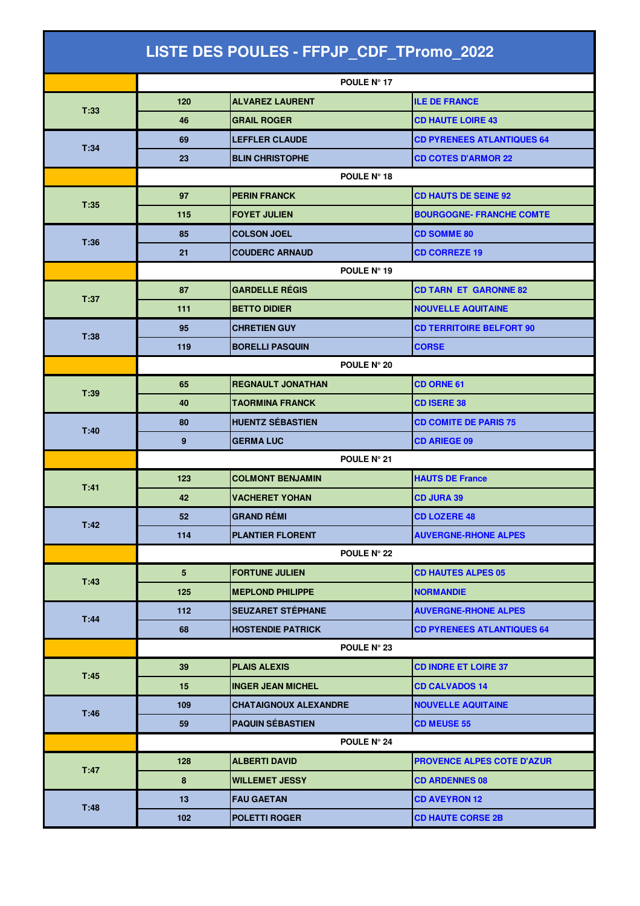| LISTE DES POULES - FFPJP_CDF_TPromo_2022 |                    |                              |                                   |  |
|------------------------------------------|--------------------|------------------------------|-----------------------------------|--|
|                                          |                    | POULE Nº 17                  |                                   |  |
| T:33                                     | 120                | <b>ALVAREZ LAURENT</b>       | <b>ILE DE FRANCE</b>              |  |
|                                          | 46                 | <b>GRAIL ROGER</b>           | <b>CD HAUTE LOIRE 43</b>          |  |
|                                          | 69                 | <b>LEFFLER CLAUDE</b>        | <b>CD PYRENEES ATLANTIQUES 64</b> |  |
| T:34                                     | 23                 | <b>BLIN CHRISTOPHE</b>       | <b>CD COTES D'ARMOR 22</b>        |  |
|                                          | <b>POULE N° 18</b> |                              |                                   |  |
| T:35                                     | 97                 | <b>PERIN FRANCK</b>          | <b>CD HAUTS DE SEINE 92</b>       |  |
|                                          | 115                | <b>FOYET JULIEN</b>          | <b>BOURGOGNE- FRANCHE COMTE</b>   |  |
| T:36                                     | 85                 | <b>COLSON JOEL</b>           | <b>CD SOMME 80</b>                |  |
|                                          | 21                 | <b>COUDERC ARNAUD</b>        | <b>CD CORREZE 19</b>              |  |
|                                          | POULE N° 19        |                              |                                   |  |
| T:37                                     | 87                 | <b>GARDELLE RÉGIS</b>        | <b>CD TARN ET GARONNE 82</b>      |  |
|                                          | 111                | <b>BETTO DIDIER</b>          | <b>NOUVELLE AQUITAINE</b>         |  |
| T:38                                     | 95                 | <b>CHRETIEN GUY</b>          | <b>CD TERRITOIRE BELFORT 90</b>   |  |
|                                          | 119                | <b>BORELLI PASQUIN</b>       | <b>CORSE</b>                      |  |
|                                          | POULE N° 20        |                              |                                   |  |
| T:39                                     | 65                 | <b>REGNAULT JONATHAN</b>     | CD ORNE 61                        |  |
|                                          | 40                 | <b>TAORMINA FRANCK</b>       | <b>CD ISERE 38</b>                |  |
| T:40                                     | 80                 | <b>HUENTZ SÉBASTIEN</b>      | <b>CD COMITE DE PARIS 75</b>      |  |
|                                          | 9                  | <b>GERMA LUC</b>             | <b>CD ARIEGE 09</b>               |  |
|                                          | POULE N° 21        |                              |                                   |  |
| T:41                                     | 123                | <b>COLMONT BENJAMIN</b>      | <b>HAUTS DE France</b>            |  |
|                                          | 42                 | <b>VACHERET YOHAN</b>        | <b>CD JURA 39</b>                 |  |
| T:42                                     | 52                 | <b>GRAND RÉMI</b>            | <b>CD LOZERE 48</b>               |  |
|                                          | 114                | <b>PLANTIER FLORENT</b>      | <b>AUVERGNE-RHONE ALPES</b>       |  |
|                                          | POULE N° 22        |                              |                                   |  |
| T:43                                     | 5 <sup>5</sup>     | <b>FORTUNE JULIEN</b>        | <b>CD HAUTES ALPES 05</b>         |  |
|                                          | 125                | <b>MEPLOND PHILIPPE</b>      | <b>NORMANDIE</b>                  |  |
| T:44                                     | 112                | <b>SEUZARET STÉPHANE</b>     | <b>AUVERGNE-RHONE ALPES</b>       |  |
|                                          | 68                 | <b>HOSTENDIE PATRICK</b>     | <b>CD PYRENEES ATLANTIQUES 64</b> |  |
|                                          |                    | POULE N° 23                  |                                   |  |
| T:45                                     | 39                 | <b>PLAIS ALEXIS</b>          | <b>CD INDRE ET LOIRE 37</b>       |  |
|                                          | 15                 | <b>INGER JEAN MICHEL</b>     | <b>CD CALVADOS 14</b>             |  |
| T:46                                     | 109                | <b>CHATAIGNOUX ALEXANDRE</b> | <b>NOUVELLE AQUITAINE</b>         |  |
|                                          | 59                 | <b>PAQUIN SÉBASTIEN</b>      | <b>CD MEUSE 55</b>                |  |
|                                          |                    | POULE N° 24                  |                                   |  |
| T:47                                     | 128                | <b>ALBERTI DAVID</b>         | <b>PROVENCE ALPES COTE D'AZUR</b> |  |
|                                          | 8                  | <b>WILLEMET JESSY</b>        | <b>CD ARDENNES 08</b>             |  |
| T:48                                     | 13                 | <b>FAU GAETAN</b>            | <b>CD AVEYRON 12</b>              |  |
|                                          | 102                | <b>POLETTI ROGER</b>         | <b>CD HAUTE CORSE 2B</b>          |  |